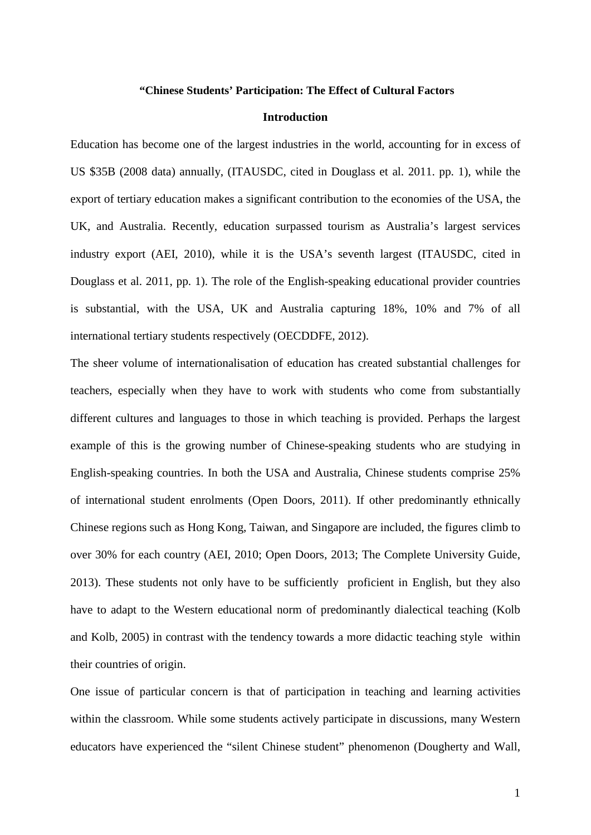#### **"Chinese Students' Participation: The Effect of Cultural Factors**

#### **Introduction**

Education has become one of the largest industries in the world, accounting for in excess of US \$35B (2008 data) annually, (ITAUSDC, cited in Douglass et al. 2011. pp. 1), while the export of tertiary education makes a significant contribution to the economies of the USA, the UK, and Australia. Recently, education surpassed tourism as Australia's largest services industry export (AEI, 2010), while it is the USA's seventh largest (ITAUSDC, cited in Douglass et al. 2011, pp. 1). The role of the English-speaking educational provider countries is substantial, with the USA, UK and Australia capturing 18%, 10% and 7% of all international tertiary students respectively (OECDDFE, 2012).

The sheer volume of internationalisation of education has created substantial challenges for teachers, especially when they have to work with students who come from substantially different cultures and languages to those in which teaching is provided. Perhaps the largest example of this is the growing number of Chinese-speaking students who are studying in English-speaking countries. In both the USA and Australia, Chinese students comprise 25% of international student enrolments (Open Doors, 2011). If other predominantly ethnically Chinese regions such as Hong Kong, Taiwan, and Singapore are included, the figures climb to over 30% for each country (AEI, 2010; Open Doors, 2013; The Complete University Guide, 2013). These students not only have to be sufficiently proficient in English, but they also have to adapt to the Western educational norm of predominantly dialectical teaching (Kolb and Kolb, 2005) in contrast with the tendency towards a more didactic teaching style within their countries of origin.

One issue of particular concern is that of participation in teaching and learning activities within the classroom. While some students actively participate in discussions, many Western educators have experienced the "silent Chinese student" phenomenon (Dougherty and Wall,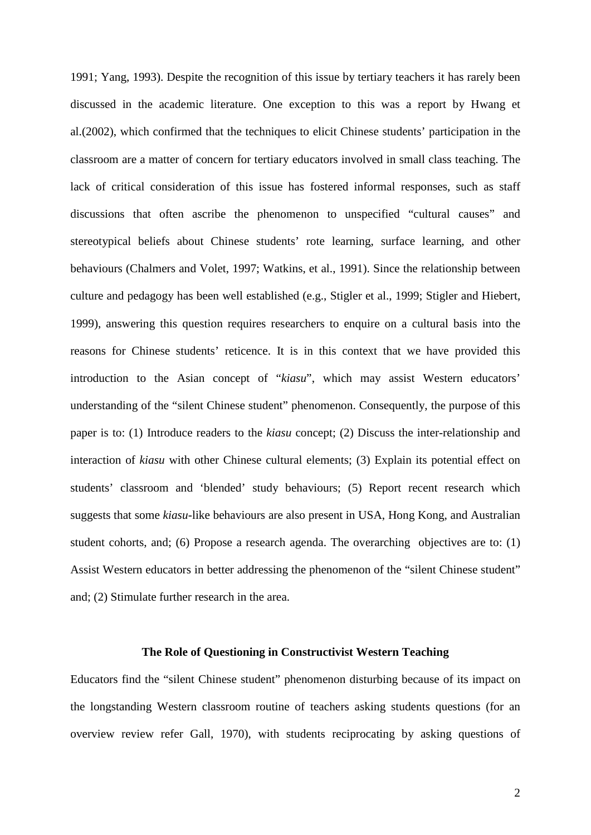1991; Yang, 1993). Despite the recognition of this issue by tertiary teachers it has rarely been discussed in the academic literature. One exception to this was a report by Hwang et al.(2002), which confirmed that the techniques to elicit Chinese students' participation in the classroom are a matter of concern for tertiary educators involved in small class teaching. The lack of critical consideration of this issue has fostered informal responses, such as staff discussions that often ascribe the phenomenon to unspecified "cultural causes" and stereotypical beliefs about Chinese students' rote learning, surface learning, and other behaviours (Chalmers and Volet, 1997; Watkins, et al., 1991). Since the relationship between culture and pedagogy has been well established (e.g., Stigler et al., 1999; Stigler and Hiebert, 1999), answering this question requires researchers to enquire on a cultural basis into the reasons for Chinese students' reticence. It is in this context that we have provided this introduction to the Asian concept of "*kiasu*", which may assist Western educators' understanding of the "silent Chinese student" phenomenon. Consequently, the purpose of this paper is to: (1) Introduce readers to the *kiasu* concept; (2) Discuss the inter-relationship and interaction of *kiasu* with other Chinese cultural elements; (3) Explain its potential effect on students' classroom and 'blended' study behaviours; (5) Report recent research which suggests that some *kiasu*-like behaviours are also present in USA, Hong Kong, and Australian student cohorts, and; (6) Propose a research agenda. The overarching objectives are to: (1) Assist Western educators in better addressing the phenomenon of the "silent Chinese student" and; (2) Stimulate further research in the area.

#### **The Role of Questioning in Constructivist Western Teaching**

Educators find the "silent Chinese student" phenomenon disturbing because of its impact on the longstanding Western classroom routine of teachers asking students questions (for an overview review refer Gall, 1970), with students reciprocating by asking questions of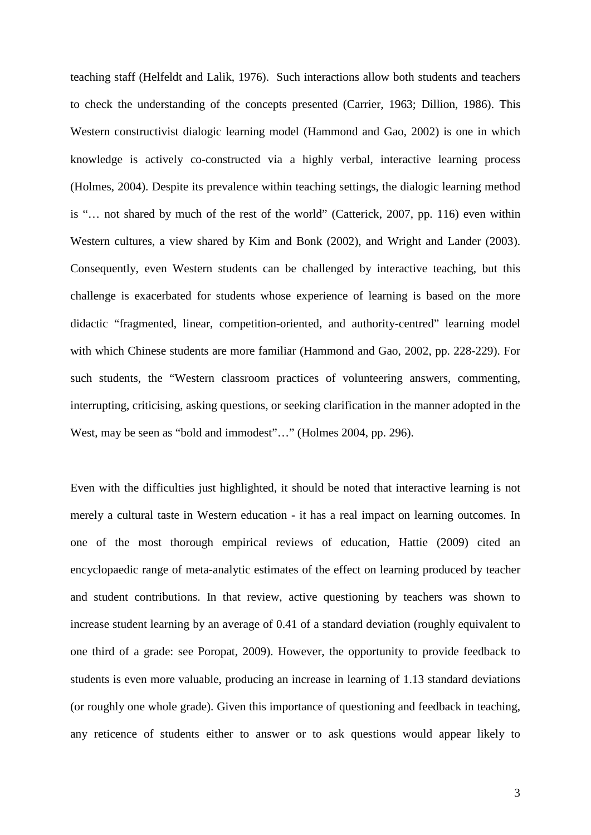teaching staff (Helfeldt and Lalik, 1976). Such interactions allow both students and teachers to check the understanding of the concepts presented (Carrier, 1963; Dillion, 1986). This Western constructivist dialogic learning model (Hammond and Gao, 2002) is one in which knowledge is actively co-constructed via a highly verbal, interactive learning process (Holmes, 2004). Despite its prevalence within teaching settings, the dialogic learning method is "… not shared by much of the rest of the world" (Catterick, 2007, pp. 116) even within Western cultures, a view shared by Kim and Bonk (2002), and Wright and Lander (2003). Consequently, even Western students can be challenged by interactive teaching, but this challenge is exacerbated for students whose experience of learning is based on the more didactic "fragmented, linear, competition-oriented, and authority-centred" learning model with which Chinese students are more familiar (Hammond and Gao, 2002, pp. 228-229). For such students, the "Western classroom practices of volunteering answers, commenting, interrupting, criticising, asking questions, or seeking clarification in the manner adopted in the West, may be seen as "bold and immodest"…" (Holmes 2004, pp. 296).

Even with the difficulties just highlighted, it should be noted that interactive learning is not merely a cultural taste in Western education - it has a real impact on learning outcomes. In one of the most thorough empirical reviews of education, Hattie (2009) cited an encyclopaedic range of meta-analytic estimates of the effect on learning produced by teacher and student contributions. In that review, active questioning by teachers was shown to increase student learning by an average of 0.41 of a standard deviation (roughly equivalent to one third of a grade: see Poropat, 2009). However, the opportunity to provide feedback to students is even more valuable, producing an increase in learning of 1.13 standard deviations (or roughly one whole grade). Given this importance of questioning and feedback in teaching, any reticence of students either to answer or to ask questions would appear likely to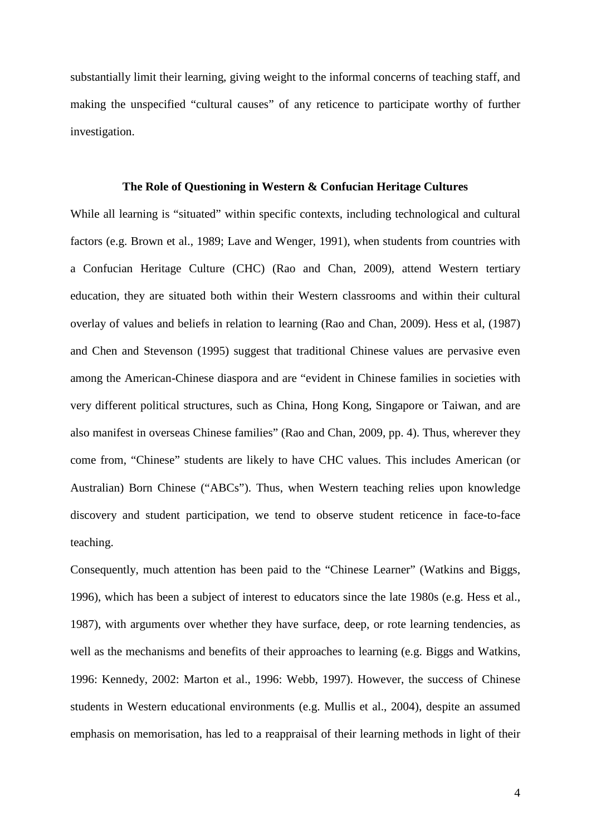substantially limit their learning, giving weight to the informal concerns of teaching staff, and making the unspecified "cultural causes" of any reticence to participate worthy of further investigation.

### **The Role of Questioning in Western & Confucian Heritage Cultures**

While all learning is "situated" within specific contexts, including technological and cultural factors (e.g. Brown et al., 1989; Lave and Wenger, 1991), when students from countries with a Confucian Heritage Culture (CHC) (Rao and Chan, 2009), attend Western tertiary education, they are situated both within their Western classrooms and within their cultural overlay of values and beliefs in relation to learning (Rao and Chan, 2009). Hess et al, (1987) and Chen and Stevenson (1995) suggest that traditional Chinese values are pervasive even among the American-Chinese diaspora and are "evident in Chinese families in societies with very different political structures, such as China, Hong Kong, Singapore or Taiwan, and are also manifest in overseas Chinese families" (Rao and Chan, 2009, pp. 4). Thus, wherever they come from, "Chinese" students are likely to have CHC values. This includes American (or Australian) Born Chinese ("ABCs"). Thus, when Western teaching relies upon knowledge discovery and student participation, we tend to observe student reticence in face-to-face teaching.

Consequently, much attention has been paid to the "Chinese Learner" (Watkins and Biggs, 1996), which has been a subject of interest to educators since the late 1980s (e.g. Hess et al., 1987), with arguments over whether they have surface, deep, or rote learning tendencies, as well as the mechanisms and benefits of their approaches to learning (e.g. Biggs and Watkins, 1996: Kennedy, 2002: Marton et al., 1996: Webb, 1997). However, the success of Chinese students in Western educational environments (e.g. Mullis et al., 2004), despite an assumed emphasis on memorisation, has led to a reappraisal of their learning methods in light of their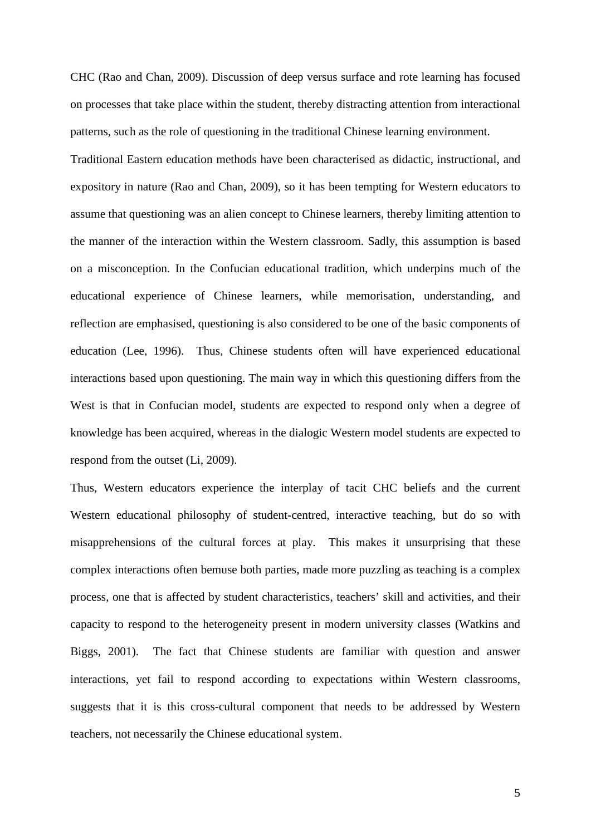CHC (Rao and Chan, 2009). Discussion of deep versus surface and rote learning has focused on processes that take place within the student, thereby distracting attention from interactional patterns, such as the role of questioning in the traditional Chinese learning environment.

Traditional Eastern education methods have been characterised as didactic, instructional, and expository in nature (Rao and Chan, 2009), so it has been tempting for Western educators to assume that questioning was an alien concept to Chinese learners, thereby limiting attention to the manner of the interaction within the Western classroom. Sadly, this assumption is based on a misconception. In the Confucian educational tradition, which underpins much of the educational experience of Chinese learners, while memorisation, understanding, and reflection are emphasised, questioning is also considered to be one of the basic components of education (Lee, 1996). Thus, Chinese students often will have experienced educational interactions based upon questioning. The main way in which this questioning differs from the West is that in Confucian model, students are expected to respond only when a degree of knowledge has been acquired, whereas in the dialogic Western model students are expected to respond from the outset (Li, 2009).

Thus, Western educators experience the interplay of tacit CHC beliefs and the current Western educational philosophy of student-centred, interactive teaching, but do so with misapprehensions of the cultural forces at play. This makes it unsurprising that these complex interactions often bemuse both parties, made more puzzling as teaching is a complex process, one that is affected by student characteristics, teachers' skill and activities, and their capacity to respond to the heterogeneity present in modern university classes (Watkins and Biggs, 2001). The fact that Chinese students are familiar with question and answer interactions, yet fail to respond according to expectations within Western classrooms, suggests that it is this cross-cultural component that needs to be addressed by Western teachers, not necessarily the Chinese educational system.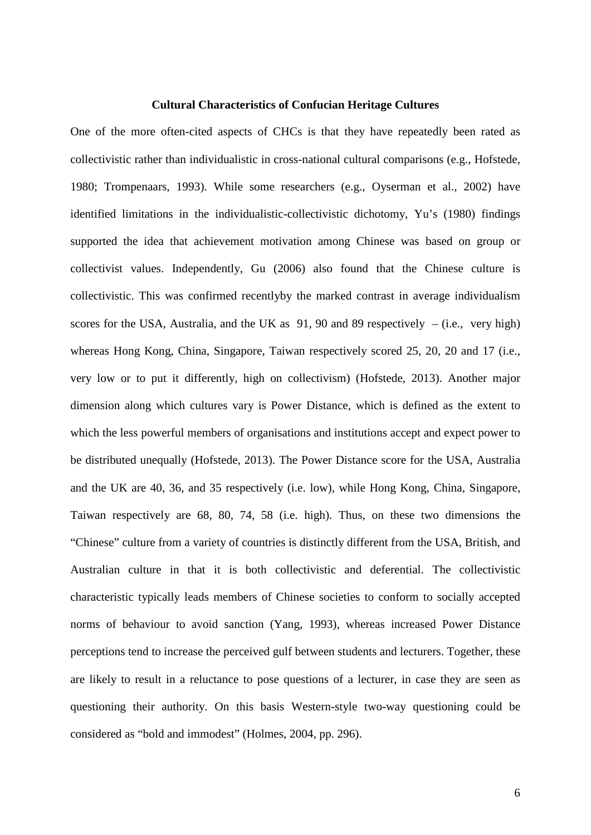### **Cultural Characteristics of Confucian Heritage Cultures**

One of the more often-cited aspects of CHCs is that they have repeatedly been rated as collectivistic rather than individualistic in cross-national cultural comparisons (e.g., Hofstede, 1980; Trompenaars, 1993). While some researchers (e.g., Oyserman et al., 2002) have identified limitations in the individualistic-collectivistic dichotomy, Yu's (1980) findings supported the idea that achievement motivation among Chinese was based on group or collectivist values. Independently, Gu (2006) also found that the Chinese culture is collectivistic. This was confirmed recentlyby the marked contrast in average individualism scores for the USA, Australia, and the UK as  $91, 90$  and 89 respectively – (i.e., very high) whereas Hong Kong, China, Singapore, Taiwan respectively scored 25, 20, 20 and 17 (i.e., very low or to put it differently, high on collectivism) (Hofstede, 2013). Another major dimension along which cultures vary is Power Distance, which is defined as the extent to which the less powerful members of organisations and institutions accept and expect power to be distributed unequally (Hofstede, 2013). The Power Distance score for the USA, Australia and the UK are 40, 36, and 35 respectively (i.e. low), while Hong Kong, China, Singapore, Taiwan respectively are 68, 80, 74, 58 (i.e. high). Thus, on these two dimensions the "Chinese" culture from a variety of countries is distinctly different from the USA, British, and Australian culture in that it is both collectivistic and deferential. The collectivistic characteristic typically leads members of Chinese societies to conform to socially accepted norms of behaviour to avoid sanction (Yang, 1993), whereas increased Power Distance perceptions tend to increase the perceived gulf between students and lecturers. Together, these are likely to result in a reluctance to pose questions of a lecturer, in case they are seen as questioning their authority. On this basis Western-style two-way questioning could be considered as "bold and immodest" (Holmes, 2004, pp. 296).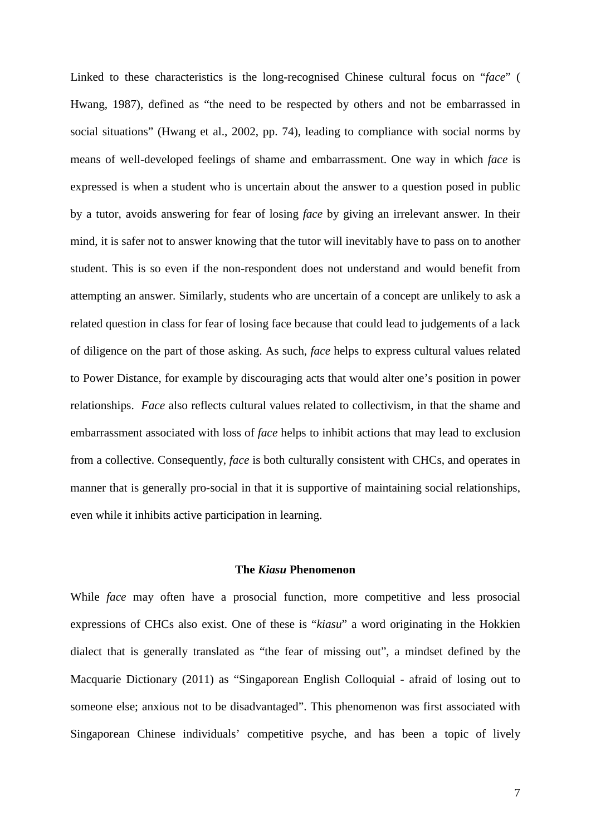Linked to these characteristics is the long-recognised Chinese cultural focus on "*face*" ( Hwang, 1987), defined as "the need to be respected by others and not be embarrassed in social situations" (Hwang et al., 2002, pp. 74), leading to compliance with social norms by means of well-developed feelings of shame and embarrassment. One way in which *face* is expressed is when a student who is uncertain about the answer to a question posed in public by a tutor, avoids answering for fear of losing *face* by giving an irrelevant answer. In their mind, it is safer not to answer knowing that the tutor will inevitably have to pass on to another student. This is so even if the non-respondent does not understand and would benefit from attempting an answer. Similarly, students who are uncertain of a concept are unlikely to ask a related question in class for fear of losing face because that could lead to judgements of a lack of diligence on the part of those asking. As such, *face* helps to express cultural values related to Power Distance, for example by discouraging acts that would alter one's position in power relationships. *Face* also reflects cultural values related to collectivism, in that the shame and embarrassment associated with loss of *face* helps to inhibit actions that may lead to exclusion from a collective. Consequently, *face* is both culturally consistent with CHCs, and operates in manner that is generally pro-social in that it is supportive of maintaining social relationships, even while it inhibits active participation in learning.

# **The** *Kiasu* **Phenomenon**

While *face* may often have a prosocial function, more competitive and less prosocial expressions of CHCs also exist. One of these is "*kiasu*" a word originating in the Hokkien dialect that is generally translated as "the fear of missing out", a mindset defined by the Macquarie Dictionary (2011) as "Singaporean English Colloquial - afraid of losing out to someone else; anxious not to be disadvantaged". This phenomenon was first associated with Singaporean Chinese individuals' competitive psyche, and has been a topic of lively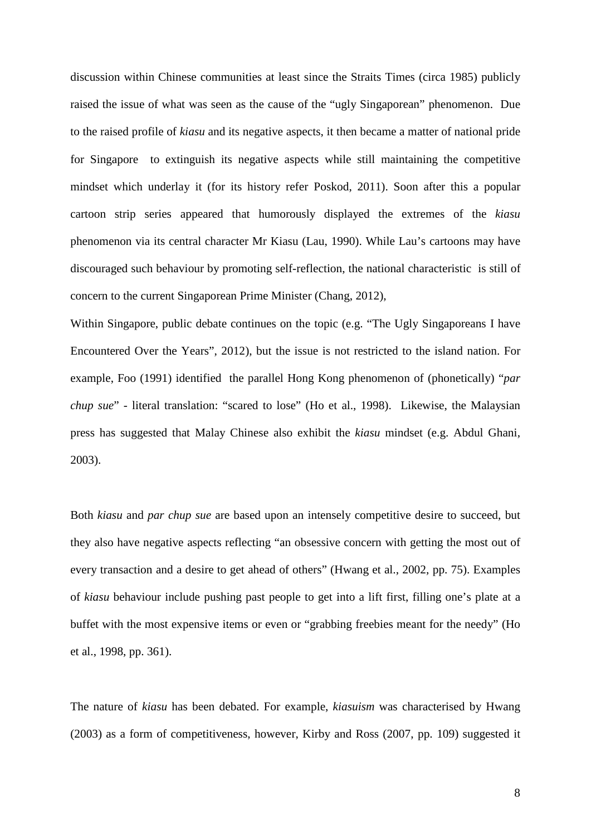discussion within Chinese communities at least since the Straits Times (circa 1985) publicly raised the issue of what was seen as the cause of the "ugly Singaporean" phenomenon. Due to the raised profile of *kiasu* and its negative aspects, it then became a matter of national pride for Singapore to extinguish its negative aspects while still maintaining the competitive mindset which underlay it (for its history refer Poskod, 2011). Soon after this a popular cartoon strip series appeared that humorously displayed the extremes of the *kiasu* phenomenon via its central character Mr Kiasu (Lau, 1990). While Lau's cartoons may have discouraged such behaviour by promoting self-reflection, the national characteristic is still of concern to the current Singaporean Prime Minister (Chang, 2012),

Within Singapore, public debate continues on the topic (e.g. "The Ugly Singaporeans I have Encountered Over the Years", 2012), but the issue is not restricted to the island nation. For example, Foo (1991) identified the parallel Hong Kong phenomenon of (phonetically) "*par chup sue*" - literal translation: "scared to lose" (Ho et al., 1998). Likewise, the Malaysian press has suggested that Malay Chinese also exhibit the *kiasu* mindset (e.g. Abdul Ghani, 2003).

Both *kiasu* and *par chup sue* are based upon an intensely competitive desire to succeed, but they also have negative aspects reflecting "an obsessive concern with getting the most out of every transaction and a desire to get ahead of others" (Hwang et al., 2002, pp. 75). Examples of *kiasu* behaviour include pushing past people to get into a lift first, filling one's plate at a buffet with the most expensive items or even or "grabbing freebies meant for the needy" (Ho et al., 1998, pp. 361).

The nature of *kiasu* has been debated. For example, *kiasuism* was characterised by Hwang (2003) as a form of competitiveness, however, Kirby and Ross (2007, pp. 109) suggested it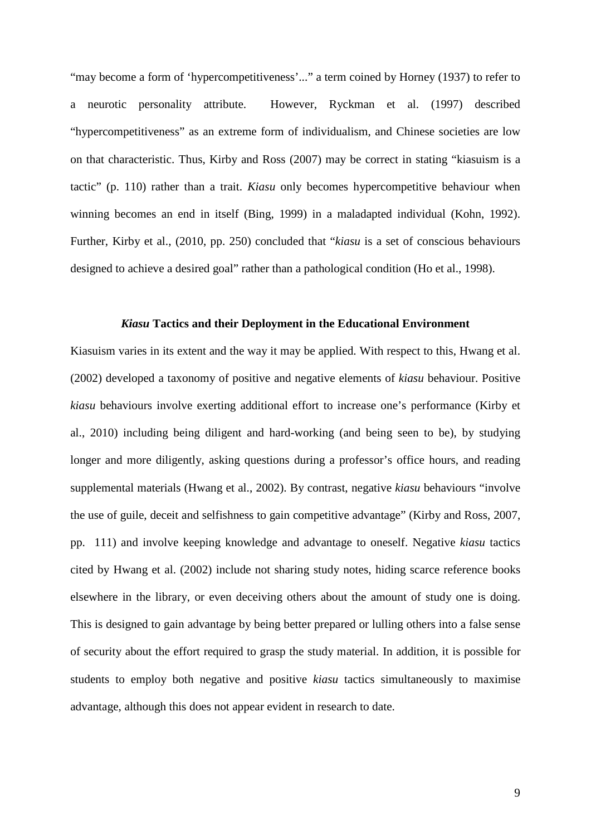"may become a form of 'hypercompetitiveness'..." a term coined by Horney (1937) to refer to a neurotic personality attribute. However, Ryckman et al. (1997) described "hypercompetitiveness" as an extreme form of individualism, and Chinese societies are low on that characteristic. Thus, Kirby and Ross (2007) may be correct in stating "kiasuism is a tactic" (p. 110) rather than a trait. *Kiasu* only becomes hypercompetitive behaviour when winning becomes an end in itself (Bing, 1999) in a maladapted individual (Kohn, 1992). Further, Kirby et al., (2010, pp. 250) concluded that "*kiasu* is a set of conscious behaviours designed to achieve a desired goal" rather than a pathological condition (Ho et al., 1998).

# *Kiasu* **Tactics and their Deployment in the Educational Environment**

Kiasuism varies in its extent and the way it may be applied. With respect to this, Hwang et al. (2002) developed a taxonomy of positive and negative elements of *kiasu* behaviour. Positive *kiasu* behaviours involve exerting additional effort to increase one's performance (Kirby et al., 2010) including being diligent and hard-working (and being seen to be), by studying longer and more diligently, asking questions during a professor's office hours, and reading supplemental materials (Hwang et al., 2002). By contrast, negative *kiasu* behaviours "involve the use of guile, deceit and selfishness to gain competitive advantage" (Kirby and Ross, 2007, pp. 111) and involve keeping knowledge and advantage to oneself. Negative *kiasu* tactics cited by Hwang et al. (2002) include not sharing study notes, hiding scarce reference books elsewhere in the library, or even deceiving others about the amount of study one is doing. This is designed to gain advantage by being better prepared or lulling others into a false sense of security about the effort required to grasp the study material. In addition, it is possible for students to employ both negative and positive *kiasu* tactics simultaneously to maximise advantage, although this does not appear evident in research to date.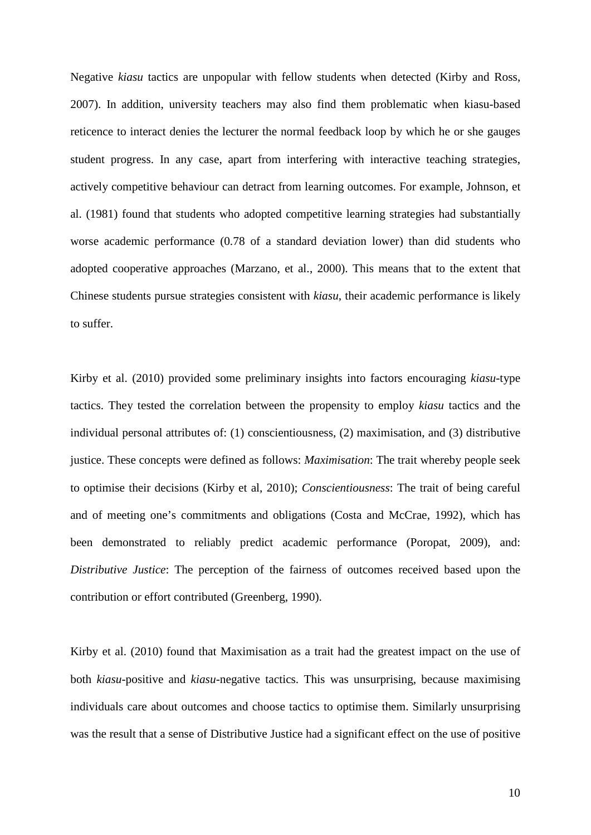Negative *kiasu* tactics are unpopular with fellow students when detected (Kirby and Ross, 2007). In addition, university teachers may also find them problematic when kiasu-based reticence to interact denies the lecturer the normal feedback loop by which he or she gauges student progress. In any case, apart from interfering with interactive teaching strategies, actively competitive behaviour can detract from learning outcomes. For example, Johnson, et al. (1981) found that students who adopted competitive learning strategies had substantially worse academic performance (0.78 of a standard deviation lower) than did students who adopted cooperative approaches (Marzano, et al., 2000). This means that to the extent that Chinese students pursue strategies consistent with *kiasu*, their academic performance is likely to suffer.

Kirby et al. (2010) provided some preliminary insights into factors encouraging *kiasu*-type tactics. They tested the correlation between the propensity to employ *kiasu* tactics and the individual personal attributes of: (1) conscientiousness, (2) maximisation, and (3) distributive justice. These concepts were defined as follows: *Maximisation*: The trait whereby people seek to optimise their decisions (Kirby et al, 2010); *Conscientiousness*: The trait of being careful and of meeting one's commitments and obligations (Costa and McCrae, 1992), which has been demonstrated to reliably predict academic performance (Poropat, 2009), and: *Distributive Justice*: The perception of the fairness of outcomes received based upon the contribution or effort contributed (Greenberg, 1990).

Kirby et al. (2010) found that Maximisation as a trait had the greatest impact on the use of both *kiasu*-positive and *kiasu*-negative tactics. This was unsurprising, because maximising individuals care about outcomes and choose tactics to optimise them. Similarly unsurprising was the result that a sense of Distributive Justice had a significant effect on the use of positive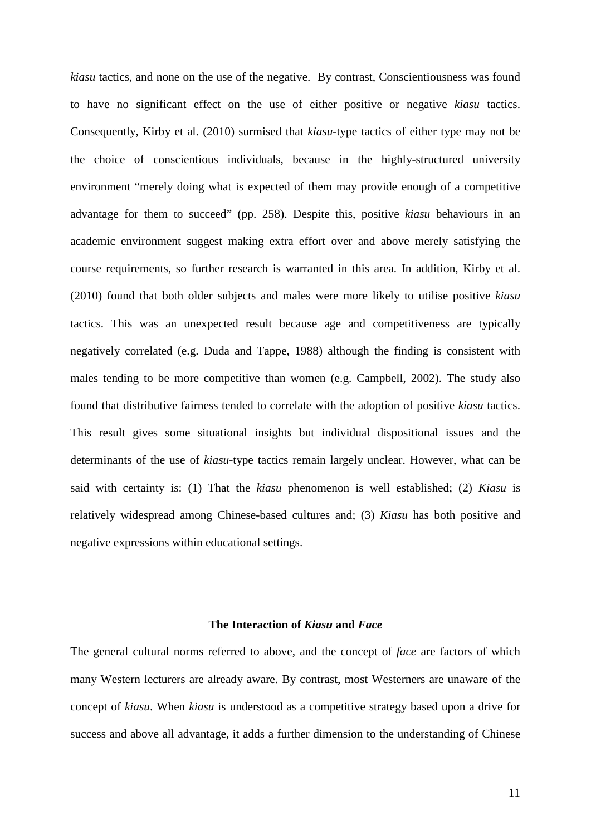*kiasu* tactics, and none on the use of the negative. By contrast, Conscientiousness was found to have no significant effect on the use of either positive or negative *kiasu* tactics. Consequently, Kirby et al. (2010) surmised that *kiasu*-type tactics of either type may not be the choice of conscientious individuals, because in the highly-structured university environment "merely doing what is expected of them may provide enough of a competitive advantage for them to succeed" (pp. 258). Despite this, positive *kiasu* behaviours in an academic environment suggest making extra effort over and above merely satisfying the course requirements, so further research is warranted in this area. In addition, Kirby et al. (2010) found that both older subjects and males were more likely to utilise positive *kiasu* tactics. This was an unexpected result because age and competitiveness are typically negatively correlated (e.g. Duda and Tappe, 1988) although the finding is consistent with males tending to be more competitive than women (e.g. Campbell, 2002). The study also found that distributive fairness tended to correlate with the adoption of positive *kiasu* tactics. This result gives some situational insights but individual dispositional issues and the determinants of the use of *kiasu*-type tactics remain largely unclear. However, what can be said with certainty is: (1) That the *kiasu* phenomenon is well established; (2) *Kiasu* is relatively widespread among Chinese-based cultures and; (3) *Kiasu* has both positive and negative expressions within educational settings.

# **The Interaction of** *Kiasu* **and** *Face*

The general cultural norms referred to above, and the concept of *face* are factors of which many Western lecturers are already aware. By contrast, most Westerners are unaware of the concept of *kiasu*. When *kiasu* is understood as a competitive strategy based upon a drive for success and above all advantage, it adds a further dimension to the understanding of Chinese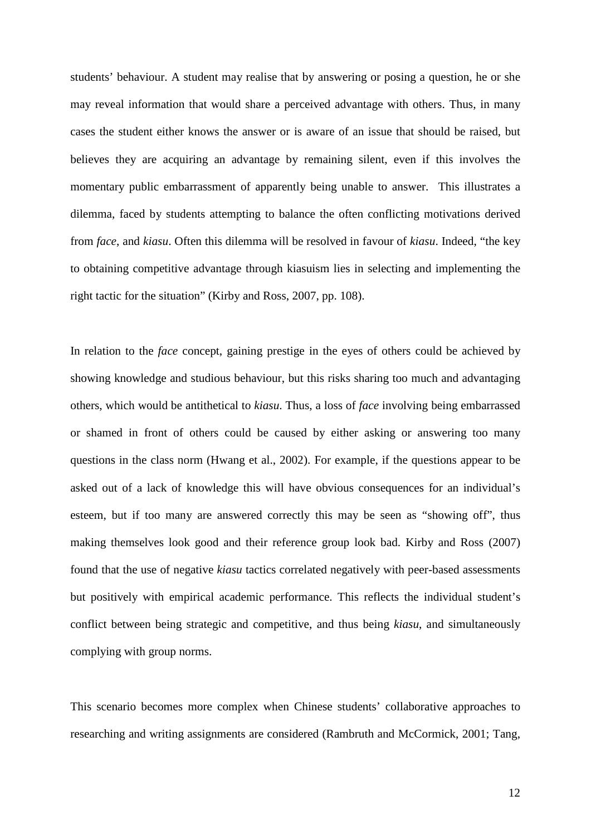students' behaviour. A student may realise that by answering or posing a question, he or she may reveal information that would share a perceived advantage with others. Thus, in many cases the student either knows the answer or is aware of an issue that should be raised, but believes they are acquiring an advantage by remaining silent, even if this involves the momentary public embarrassment of apparently being unable to answer. This illustrates a dilemma, faced by students attempting to balance the often conflicting motivations derived from *face*, and *kiasu*. Often this dilemma will be resolved in favour of *kiasu*. Indeed, "the key to obtaining competitive advantage through kiasuism lies in selecting and implementing the right tactic for the situation" (Kirby and Ross, 2007, pp. 108).

In relation to the *face* concept, gaining prestige in the eyes of others could be achieved by showing knowledge and studious behaviour, but this risks sharing too much and advantaging others, which would be antithetical to *kiasu*. Thus, a loss of *face* involving being embarrassed or shamed in front of others could be caused by either asking or answering too many questions in the class norm (Hwang et al., 2002). For example, if the questions appear to be asked out of a lack of knowledge this will have obvious consequences for an individual's esteem, but if too many are answered correctly this may be seen as "showing off", thus making themselves look good and their reference group look bad. Kirby and Ross (2007) found that the use of negative *kiasu* tactics correlated negatively with peer-based assessments but positively with empirical academic performance. This reflects the individual student's conflict between being strategic and competitive, and thus being *kiasu*, and simultaneously complying with group norms.

This scenario becomes more complex when Chinese students' collaborative approaches to researching and writing assignments are considered (Rambruth and McCormick, 2001; Tang,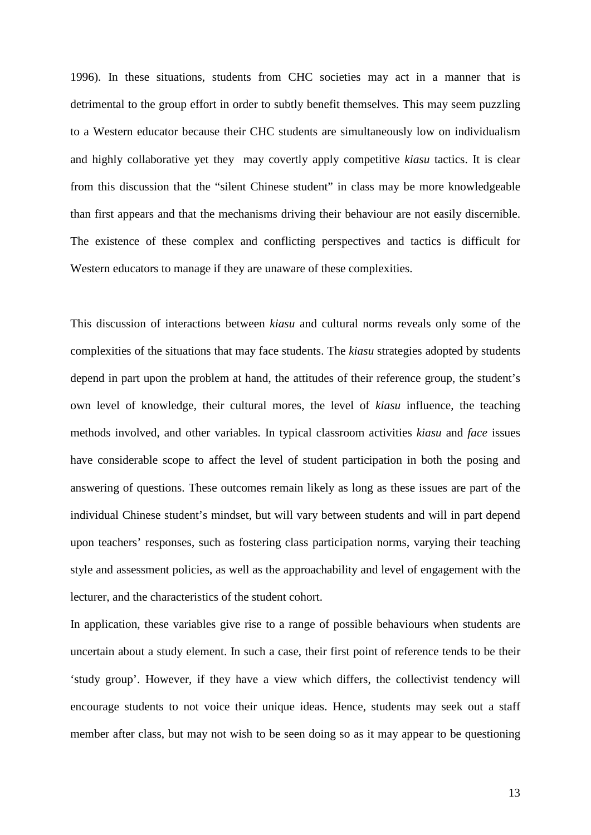1996). In these situations, students from CHC societies may act in a manner that is detrimental to the group effort in order to subtly benefit themselves. This may seem puzzling to a Western educator because their CHC students are simultaneously low on individualism and highly collaborative yet they may covertly apply competitive *kiasu* tactics. It is clear from this discussion that the "silent Chinese student" in class may be more knowledgeable than first appears and that the mechanisms driving their behaviour are not easily discernible. The existence of these complex and conflicting perspectives and tactics is difficult for Western educators to manage if they are unaware of these complexities.

This discussion of interactions between *kiasu* and cultural norms reveals only some of the complexities of the situations that may face students. The *kiasu* strategies adopted by students depend in part upon the problem at hand, the attitudes of their reference group, the student's own level of knowledge, their cultural mores, the level of *kiasu* influence, the teaching methods involved, and other variables. In typical classroom activities *kiasu* and *face* issues have considerable scope to affect the level of student participation in both the posing and answering of questions. These outcomes remain likely as long as these issues are part of the individual Chinese student's mindset, but will vary between students and will in part depend upon teachers' responses, such as fostering class participation norms, varying their teaching style and assessment policies, as well as the approachability and level of engagement with the lecturer, and the characteristics of the student cohort.

In application, these variables give rise to a range of possible behaviours when students are uncertain about a study element. In such a case, their first point of reference tends to be their 'study group'. However, if they have a view which differs, the collectivist tendency will encourage students to not voice their unique ideas. Hence, students may seek out a staff member after class, but may not wish to be seen doing so as it may appear to be questioning

13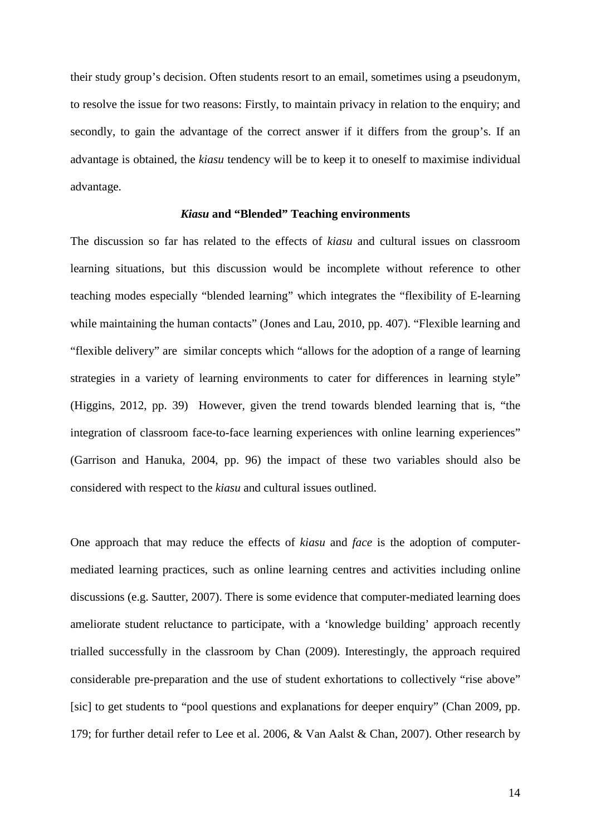their study group's decision. Often students resort to an email, sometimes using a pseudonym, to resolve the issue for two reasons: Firstly, to maintain privacy in relation to the enquiry; and secondly, to gain the advantage of the correct answer if it differs from the group's. If an advantage is obtained, the *kiasu* tendency will be to keep it to oneself to maximise individual advantage.

#### *Kiasu* **and "Blended" Teaching environments**

The discussion so far has related to the effects of *kiasu* and cultural issues on classroom learning situations, but this discussion would be incomplete without reference to other teaching modes especially "blended learning" which integrates the "flexibility of E-learning while maintaining the human contacts" (Jones and Lau, 2010, pp. 407). "Flexible learning and "flexible delivery" are similar concepts which "allows for the adoption of a range of learning strategies in a variety of learning environments to cater for differences in learning style" (Higgins, 2012, pp. 39) However, given the trend towards blended learning that is, "the integration of classroom face-to-face learning experiences with online learning experiences" (Garrison and Hanuka, 2004, pp. 96) the impact of these two variables should also be considered with respect to the *kiasu* and cultural issues outlined.

One approach that may reduce the effects of *kiasu* and *face* is the adoption of computermediated learning practices, such as online learning centres and activities including online discussions (e.g. Sautter, 2007). There is some evidence that computer-mediated learning does ameliorate student reluctance to participate, with a 'knowledge building' approach recently trialled successfully in the classroom by Chan (2009). Interestingly, the approach required considerable pre-preparation and the use of student exhortations to collectively "rise above" [sic] to get students to "pool questions and explanations for deeper enquiry" (Chan 2009, pp. 179; for further detail refer to Lee et al. 2006, & Van Aalst & Chan, 2007). Other research by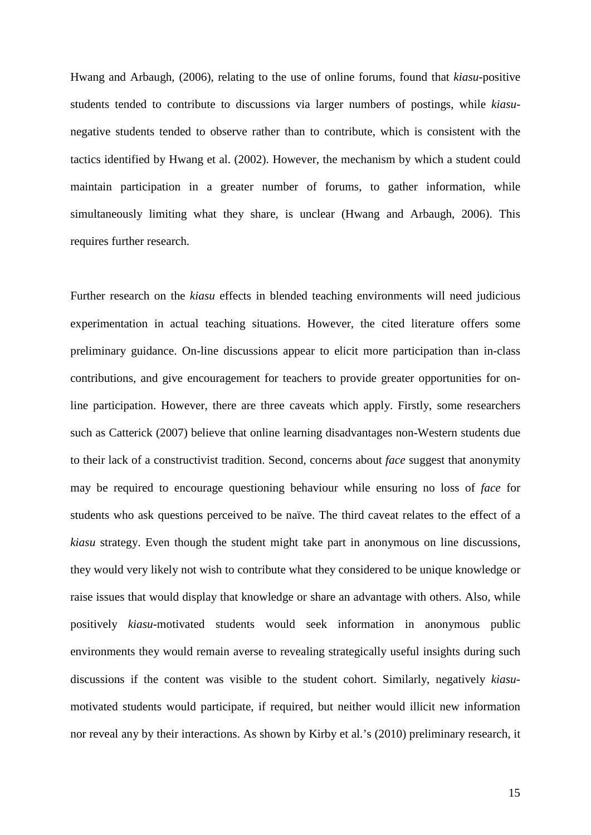Hwang and Arbaugh, (2006), relating to the use of online forums, found that *kiasu*-positive students tended to contribute to discussions via larger numbers of postings, while *kiasu*negative students tended to observe rather than to contribute, which is consistent with the tactics identified by Hwang et al. (2002). However, the mechanism by which a student could maintain participation in a greater number of forums, to gather information, while simultaneously limiting what they share, is unclear (Hwang and Arbaugh, 2006). This requires further research.

Further research on the *kiasu* effects in blended teaching environments will need judicious experimentation in actual teaching situations. However, the cited literature offers some preliminary guidance. On-line discussions appear to elicit more participation than in-class contributions, and give encouragement for teachers to provide greater opportunities for online participation. However, there are three caveats which apply. Firstly, some researchers such as Catterick (2007) believe that online learning disadvantages non-Western students due to their lack of a constructivist tradition. Second, concerns about *face* suggest that anonymity may be required to encourage questioning behaviour while ensuring no loss of *face* for students who ask questions perceived to be naïve. The third caveat relates to the effect of a *kiasu* strategy. Even though the student might take part in anonymous on line discussions, they would very likely not wish to contribute what they considered to be unique knowledge or raise issues that would display that knowledge or share an advantage with others. Also, while positively *kiasu*-motivated students would seek information in anonymous public environments they would remain averse to revealing strategically useful insights during such discussions if the content was visible to the student cohort. Similarly, negatively *kiasu*motivated students would participate, if required, but neither would illicit new information nor reveal any by their interactions. As shown by Kirby et al.'s (2010) preliminary research, it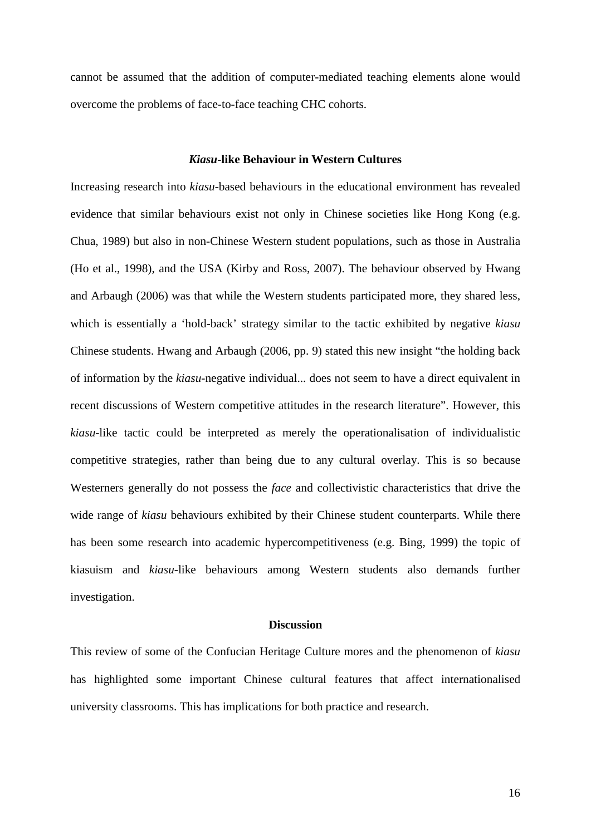cannot be assumed that the addition of computer-mediated teaching elements alone would overcome the problems of face-to-face teaching CHC cohorts.

### *Kiasu***-like Behaviour in Western Cultures**

Increasing research into *kiasu*-based behaviours in the educational environment has revealed evidence that similar behaviours exist not only in Chinese societies like Hong Kong (e.g. Chua, 1989) but also in non-Chinese Western student populations, such as those in Australia (Ho et al., 1998), and the USA (Kirby and Ross, 2007). The behaviour observed by Hwang and Arbaugh (2006) was that while the Western students participated more, they shared less, which is essentially a 'hold-back' strategy similar to the tactic exhibited by negative *kiasu* Chinese students. Hwang and Arbaugh (2006, pp. 9) stated this new insight "the holding back of information by the *kiasu*-negative individual... does not seem to have a direct equivalent in recent discussions of Western competitive attitudes in the research literature". However, this *kiasu*-like tactic could be interpreted as merely the operationalisation of individualistic competitive strategies, rather than being due to any cultural overlay. This is so because Westerners generally do not possess the *face* and collectivistic characteristics that drive the wide range of *kiasu* behaviours exhibited by their Chinese student counterparts. While there has been some research into academic hypercompetitiveness (e.g. Bing, 1999) the topic of kiasuism and *kiasu*-like behaviours among Western students also demands further investigation.

# **Discussion**

This review of some of the Confucian Heritage Culture mores and the phenomenon of *kiasu* has highlighted some important Chinese cultural features that affect internationalised university classrooms. This has implications for both practice and research.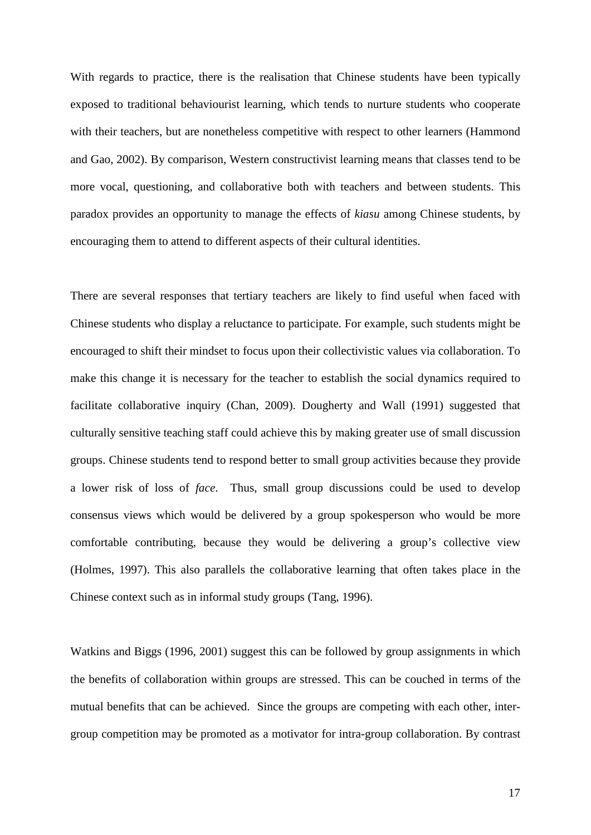With regards to practice, there is the realisation that Chinese students have been typically exposed to traditional behaviourist learning, which tends to nurture students who cooperate with their teachers, but are nonetheless competitive with respect to other learners (Hammond and Gao, 2002). By comparison, Western constructivist learning means that classes tend to be more vocal, questioning, and collaborative both with teachers and between students. This paradox provides an opportunity to manage the effects of *kiasu* among Chinese students, by encouraging them to attend to different aspects of their cultural identities.

There are several responses that tertiary teachers are likely to find useful when faced with Chinese students who display a reluctance to participate. For example, such students might be encouraged to shift their mindset to focus upon their collectivistic values via collaboration. To make this change it is necessary for the teacher to establish the social dynamics required to facilitate collaborative inquiry (Chan, 2009). Dougherty and Wall (1991) suggested that culturally sensitive teaching staff could achieve this by making greater use of small discussion groups. Chinese students tend to respond better to small group activities because they provide a lower risk of loss of *face*. Thus, small group discussions could be used to develop consensus views which would be delivered by a group spokesperson who would be more comfortable contributing, because they would be delivering a group's collective view (Holmes, 1997). This also parallels the collaborative learning that often takes place in the Chinese context such as in informal study groups (Tang, 1996).

Watkins and Biggs (1996, 2001) suggest this can be followed by group assignments in which the benefits of collaboration within groups are stressed. This can be couched in terms of the mutual benefits that can be achieved. Since the groups are competing with each other, intergroup competition may be promoted as a motivator for intra-group collaboration. By contrast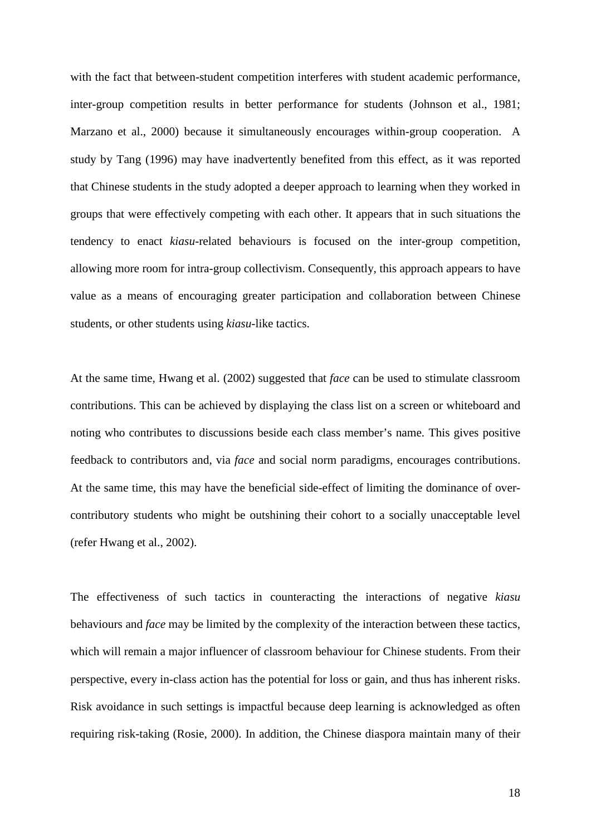with the fact that between-student competition interferes with student academic performance, inter-group competition results in better performance for students (Johnson et al., 1981; Marzano et al., 2000) because it simultaneously encourages within-group cooperation. A study by Tang (1996) may have inadvertently benefited from this effect, as it was reported that Chinese students in the study adopted a deeper approach to learning when they worked in groups that were effectively competing with each other. It appears that in such situations the tendency to enact *kiasu*-related behaviours is focused on the inter-group competition, allowing more room for intra-group collectivism. Consequently, this approach appears to have value as a means of encouraging greater participation and collaboration between Chinese students, or other students using *kiasu*-like tactics.

At the same time, Hwang et al. (2002) suggested that *face* can be used to stimulate classroom contributions. This can be achieved by displaying the class list on a screen or whiteboard and noting who contributes to discussions beside each class member's name. This gives positive feedback to contributors and, via *face* and social norm paradigms, encourages contributions. At the same time, this may have the beneficial side-effect of limiting the dominance of overcontributory students who might be outshining their cohort to a socially unacceptable level (refer Hwang et al., 2002).

The effectiveness of such tactics in counteracting the interactions of negative *kiasu* behaviours and *face* may be limited by the complexity of the interaction between these tactics, which will remain a major influencer of classroom behaviour for Chinese students. From their perspective, every in-class action has the potential for loss or gain, and thus has inherent risks. Risk avoidance in such settings is impactful because deep learning is acknowledged as often requiring risk-taking (Rosie, 2000). In addition, the Chinese diaspora maintain many of their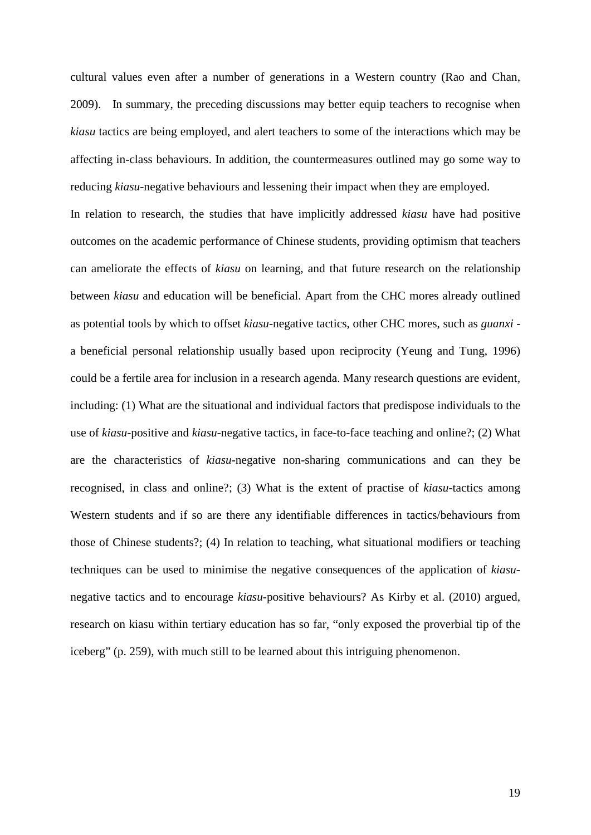cultural values even after a number of generations in a Western country (Rao and Chan, 2009). In summary, the preceding discussions may better equip teachers to recognise when *kiasu* tactics are being employed, and alert teachers to some of the interactions which may be affecting in-class behaviours. In addition, the countermeasures outlined may go some way to reducing *kiasu*-negative behaviours and lessening their impact when they are employed.

In relation to research, the studies that have implicitly addressed *kiasu* have had positive outcomes on the academic performance of Chinese students, providing optimism that teachers can ameliorate the effects of *kiasu* on learning, and that future research on the relationship between *kiasu* and education will be beneficial. Apart from the CHC mores already outlined as potential tools by which to offset *kiasu*-negative tactics, other CHC mores, such as *guanxi*  a beneficial personal relationship usually based upon reciprocity (Yeung and Tung, 1996) could be a fertile area for inclusion in a research agenda. Many research questions are evident, including: (1) What are the situational and individual factors that predispose individuals to the use of *kiasu*-positive and *kiasu*-negative tactics, in face-to-face teaching and online?; (2) What are the characteristics of *kiasu*-negative non-sharing communications and can they be recognised, in class and online?; (3) What is the extent of practise of *kiasu*-tactics among Western students and if so are there any identifiable differences in tactics/behaviours from those of Chinese students?; (4) In relation to teaching, what situational modifiers or teaching techniques can be used to minimise the negative consequences of the application of *kiasu*negative tactics and to encourage *kiasu*-positive behaviours? As Kirby et al. (2010) argued, research on kiasu within tertiary education has so far, "only exposed the proverbial tip of the iceberg" (p. 259), with much still to be learned about this intriguing phenomenon.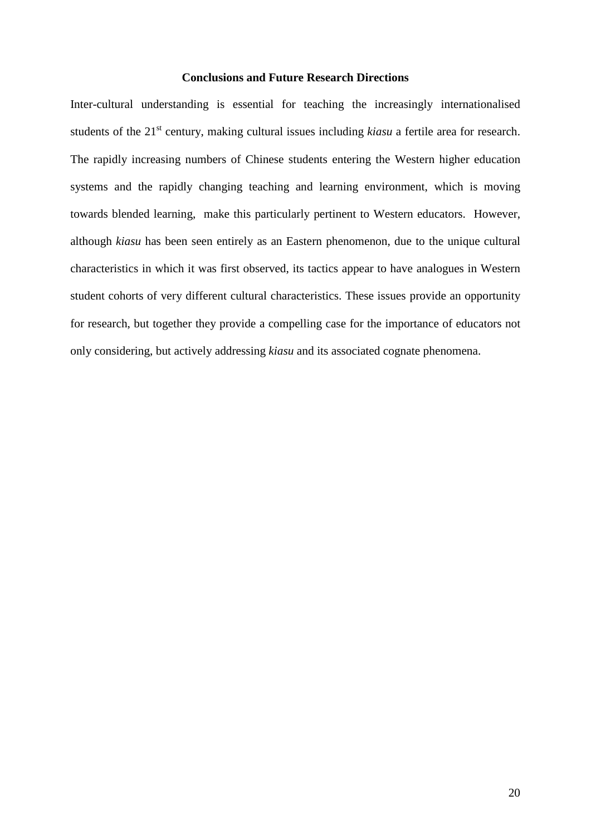# **Conclusions and Future Research Directions**

Inter-cultural understanding is essential for teaching the increasingly internationalised students of the 21<sup>st</sup> century, making cultural issues including *kiasu* a fertile area for research. The rapidly increasing numbers of Chinese students entering the Western higher education systems and the rapidly changing teaching and learning environment, which is moving towards blended learning, make this particularly pertinent to Western educators. However, although *kiasu* has been seen entirely as an Eastern phenomenon, due to the unique cultural characteristics in which it was first observed, its tactics appear to have analogues in Western student cohorts of very different cultural characteristics. These issues provide an opportunity for research, but together they provide a compelling case for the importance of educators not only considering, but actively addressing *kiasu* and its associated cognate phenomena.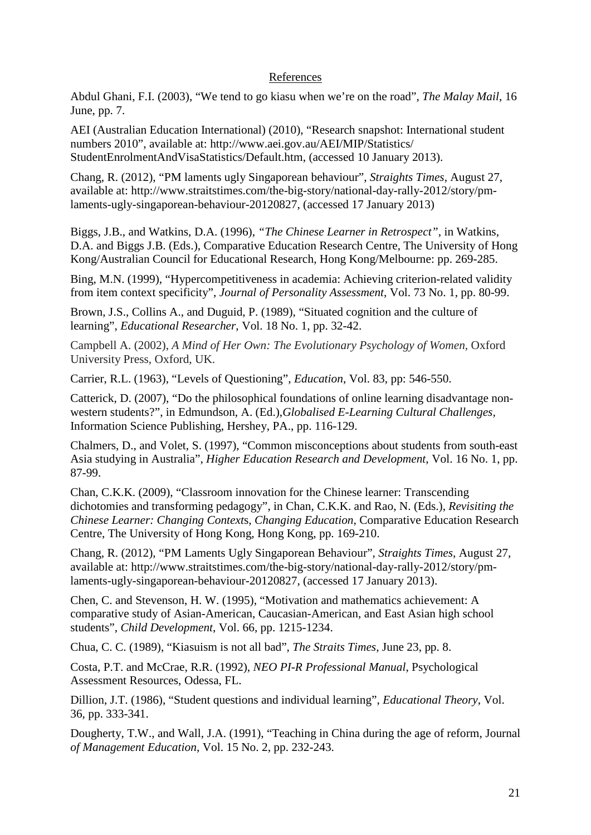# References

Abdul Ghani, F.I. (2003), "We tend to go kiasu when we're on the road", *[The Malay Mail](http://www.encyclopedia.com/The+Malay+Mail/publications.aspx?pageNumber=1)*, 16 June, pp. 7.

AEI (Australian Education International) (2010), "Research snapshot: International student numbers 2010", available at: http://www.aei.gov.au/AEI/MIP/Statistics/ StudentEnrolmentAndVisaStatistics/Default.htm, (accessed 10 January 2013).

Chang, R. (2012), "PM laments ugly Singaporean behaviour", *Straights Times,* August 27, available at: http://www.straitstimes.com/the-big-story/national-day-rally-2012/story/pmlaments-ugly-singaporean-behaviour-20120827, (accessed 17 January 2013)

Biggs, J.B., and Watkins, D.A. (1996), *"The Chinese Learner in Retrospect"*, in Watkins, D.A. and Biggs J.B. (Eds.), Comparative Education Research Centre, The University of Hong Kong/Australian Council for Educational Research, Hong Kong/Melbourne: pp. 269-285.

Bing, M.N. (1999), "Hypercompetitiveness in academia: Achieving criterion-related validity from item context specificity", *Journal of Personality Assessment*, Vol. 73 No. 1, pp. 80-99.

Brown, J.S., Collins A., and Duguid, P. (1989), "Situated cognition and the culture of learning", *Educational Researcher*, Vol. 18 No. 1, pp. 32-42.

Campbell A. (2002), *A Mind of Her Own: The Evolutionary Psychology of Women,* Oxford University Press, Oxford, UK.

Carrier, R.L. (1963), "Levels of Questioning", *Education*, Vol. 83, pp: 546-550.

Catterick, D. (2007), "Do the philosophical foundations of online learning disadvantage nonwestern students?", in Edmundson, A. (Ed.),*Globalised E-Learning Cultural Challenges,*  Information Science Publishing, Hershey, PA., pp. 116-129.

Chalmers, D., and Volet, S. (1997), "Common misconceptions about students from south-east Asia studying in Australia", *Higher Education Research and Development*, Vol. 16 No. 1, pp. 87-99.

Chan, C.K.K. (2009), "Classroom innovation for the Chinese learner: Transcending dichotomies and transforming pedagogy", in Chan, C.K.K. and Rao, N. (Eds.), *Revisiting the Chinese Learner: Changing Context*s*, Changing Education*, Comparative Education Research Centre, The University of Hong Kong, Hong Kong, pp. 169-210.

Chang, R. (2012), "PM Laments Ugly Singaporean Behaviour", *Straights Times,* August 27, available at: http://www.straitstimes.com/the-big-story/national-day-rally-2012/story/pmlaments-ugly-singaporean-behaviour-20120827, (accessed 17 January 2013).

Chen, C. and Stevenson, H. W. (1995), "Motivation and mathematics achievement: A comparative study of Asian-American, Caucasian-American, and East Asian high school students", *Child Development*, Vol. 66, pp. 1215-1234.

Chua, C. C. (1989), "Kiasuism is not all bad", *The Straits Times*, June 23, pp. 8.

Costa, P.T. and McCrae, R.R. (1992), *NEO PI-R Professional Manual*, Psychological Assessment Resources, Odessa, FL.

Dillion, J.T. (1986), "Student questions and individual learning", *Educational Theory*, Vol. 36, pp. 333-341.

Dougherty, T.W., and Wall, J.A. (1991), "Teaching in China during the age of reform, Journal *of Management Education*, Vol. 15 No. 2, pp. 232-243.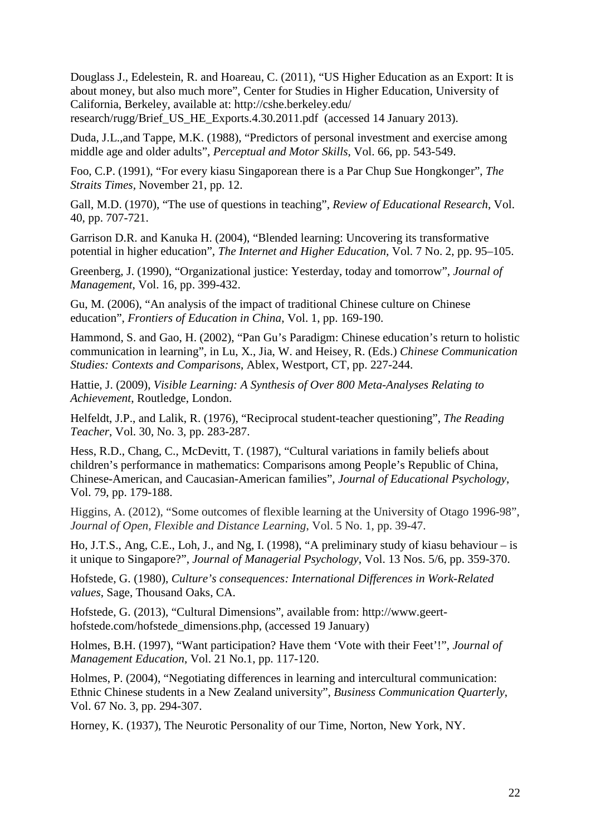Douglass J., Edelestein, R. and Hoareau, C. (2011), "US Higher Education as an Export: It is about money, but also much more", Center for Studies in Higher Education, University of California, Berkeley, available at: http://cshe.berkeley.edu/

research/rugg/Brief\_US\_HE\_Exports.4.30.2011.pdf (accessed 14 January 2013).

Duda, J.L.,and Tappe, M.K. (1988), "Predictors of personal investment and exercise among middle age and older adults", *Perceptual and Motor Skills*, Vol. 66, pp. 543-549.

Foo, C.P. (1991), "For every kiasu Singaporean there is a Par Chup Sue Hongkonger", *The Straits Times,* November 21, pp. 12.

Gall, M.D. (1970), "The use of questions in teaching", *Review of Educational Research*, Vol. 40, pp. 707-721.

Garrison D.R. and Kanuka H. (2004), "Blended learning: Uncovering its transformative potential in higher education", *The Internet and Higher Education,* Vol. 7 No. 2, pp. 95–105.

Greenberg, J. (1990), "Organizational justice: Yesterday, today and tomorrow", *Journal of Management*, Vol. 16, pp. 399-432.

Gu, M. (2006), "An analysis of the impact of traditional Chinese culture on Chinese education", *Frontiers of Education in China*, Vol. 1, pp. 169-190.

Hammond, S. and Gao, H. (2002), "Pan Gu's Paradigm: Chinese education's return to holistic communication in learning", in Lu, X., Jia, W. and Heisey, R. (Eds.) *Chinese Communication Studies: Contexts and Comparisons*, Ablex, Westport, CT, pp. 227-244.

Hattie, J. (2009), *Visible Learning: A Synthesis of Over 800 Meta-Analyses Relating to Achievement*, Routledge, London.

Helfeldt, J.P., and Lalik, R. (1976), "Reciprocal student-teacher questioning", *The Reading Teacher*, Vol. 30, No. 3, pp. 283-287.

Hess, R.D., Chang, C., McDevitt, T. (1987), "Cultural variations in family beliefs about children's performance in mathematics: Comparisons among People's Republic of China, Chinese-American, and Caucasian-American families", *Journal of Educational Psychology*, Vol. 79, pp. 179-188.

Higgins, A. (2012), "Some outcomes of flexible learning at the University of Otago 1996-98", *Journal of Open, Flexible and Distance Learning*, Vol. 5 No. 1, pp. 39-47.

Ho, J.T.S., Ang, C.E., Loh, J., and Ng, I. (1998), "A preliminary study of kiasu behaviour – is it unique to Singapore?", *Journal of Managerial Psychology*, Vol. 13 Nos. 5/6, pp. 359-370.

Hofstede, G. (1980), *Culture's consequences: International Differences in Work-Related values*, Sage, Thousand Oaks, CA.

Hofstede, G. (2013), "Cultural Dimensions", available from: http://www.geerthofstede.com/hofstede\_dimensions.php, (accessed 19 January)

Holmes, B.H. (1997), "Want participation? Have them 'Vote with their Feet'!", *Journal of Management Education*, Vol. 21 No.1, pp. 117-120.

Holmes, P. (2004), "Negotiating differences in learning and intercultural communication: Ethnic Chinese students in a New Zealand university", *Business Communication Quarterly*, Vol. 67 No. 3, pp. 294-307.

Horney, K. (1937), The Neurotic Personality of our Time, Norton, New York, NY.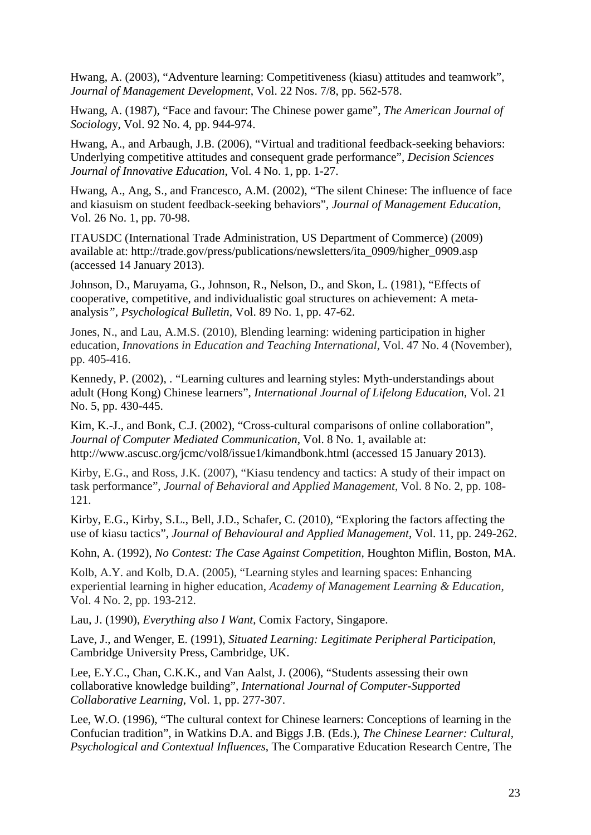Hwang, A. (2003), "Adventure learning: Competitiveness (kiasu) attitudes and teamwork", *Journal of Management Development*, Vol. 22 Nos. 7/8, pp. 562-578.

Hwang, A. (1987), "Face and favour: The Chinese power game", *The American Journal of Sociolog*y, Vol. 92 No. 4, pp. 944-974.

Hwang, A., and Arbaugh, J.B. (2006), "Virtual and traditional feedback-seeking behaviors: Underlying competitive attitudes and consequent grade performance", *Decision Sciences Journal of Innovative Education*, Vol. 4 No. 1, pp. 1-27.

Hwang, A., Ang, S., and Francesco, A.M. (2002), "The silent Chinese: The influence of face and kiasuism on student feedback-seeking behaviors", *Journal of Management Education*, Vol. 26 No. 1, pp. 70-98.

ITAUSDC (International Trade Administration, US Department of Commerce) (2009) available at: http://trade.gov/press/publications/newsletters/ita\_0909/higher\_0909.asp (accessed 14 January 2013).

Johnson, D., Maruyama, G., Johnson, R., Nelson, D., and Skon, L. (1981), "Effects of cooperative, competitive, and individualistic goal structures on achievement: A metaanalysis*", Psychological Bulletin*, Vol. 89 No. 1, pp. 47-62.

Jones, N., and Lau, A.M.S. (2010), Blending learning: widening participation in higher education, *Innovations in Education and Teaching International*, Vol. 47 No. 4 (November), pp. 405-416.

Kennedy, P. (2002), . "Learning cultures and learning styles: Myth-understandings about adult (Hong Kong) Chinese learners", *International Journal of Lifelong Education*, Vol. 21 No. 5, pp. 430-445.

Kim, K.-J., and Bonk, C.J. (2002), "Cross-cultural comparisons of online collaboration", *Journal of Computer Mediated Communication*, Vol. 8 No. 1, available at: http://www.ascusc.org/jcmc/vol8/issue1/kimandbonk.html (accessed 15 January 2013).

Kirby, E.G., and Ross, J.K. (2007), "Kiasu tendency and tactics: A study of their impact on task performance", *Journal of Behavioral and Applied Management*, Vol. 8 No. 2, pp. 108- 121.

Kirby, E.G., Kirby, S.L., Bell, J.D., Schafer, C. (2010), "Exploring the factors affecting the use of kiasu tactics", *Journal of Behavioural and Applied Management*, Vol. 11, pp. 249-262.

Kohn, A. (1992), *No Contest: The Case Against Competition,* Houghton Miflin, Boston, MA.

Kolb, A.Y. and Kolb, D.A. (2005), "Learning styles and learning spaces: Enhancing experiential learning in higher education, *Academy of Management Learning & Education*, Vol. 4 No. 2, pp. 193-212.

Lau, J. (1990), *Everything also I Want*, Comix Factory, Singapore.

Lave, J., and Wenger, E. (1991), *Situated Learning: Legitimate Peripheral Participation*, Cambridge University Press, Cambridge, UK.

Lee, E.Y.C., Chan, C.K.K., and Van Aalst, J. (2006), "Students assessing their own collaborative knowledge building", *International Journal of Computer-Supported Collaborative Learning*, Vol. 1, pp. 277-307.

Lee, W.O. (1996), "The cultural context for Chinese learners: Conceptions of learning in the Confucian tradition", in Watkins D.A. and Biggs J.B. (Eds.), *The Chinese Learner: Cultural, Psychological and Contextual Influences*, The Comparative Education Research Centre, The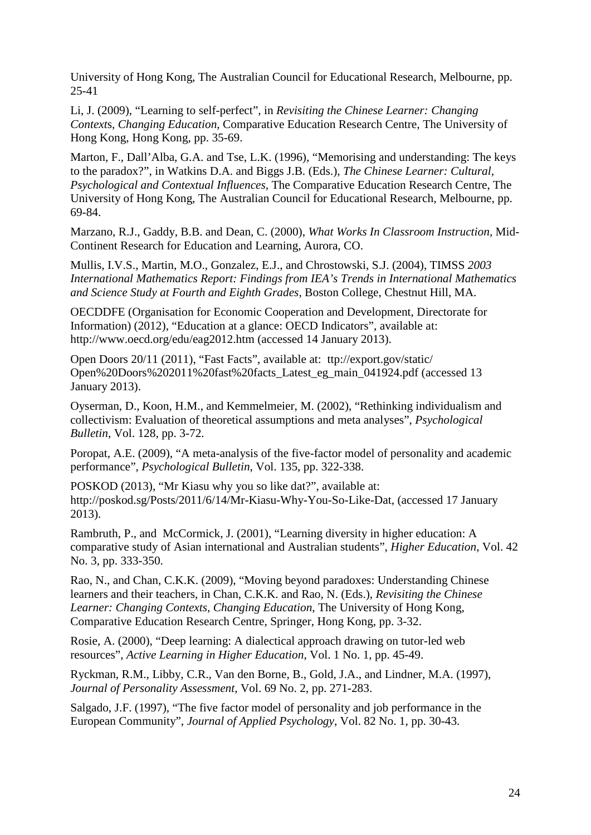University of Hong Kong, The Australian Council for Educational Research, Melbourne, pp. 25-41

Li, J. (2009), "Learning to self-perfect", in *Revisiting the Chinese Learner: Changing Context*s*, Changing Education*, Comparative Education Research Centre, The University of Hong Kong, Hong Kong, pp. 35-69.

Marton, F., Dall'Alba, G.A. and Tse, L.K. (1996), "Memorising and understanding: The keys to the paradox?", in Watkins D.A. and Biggs J.B. (Eds.), *The Chinese Learner: Cultural, Psychological and Contextual Influences*, The Comparative Education Research Centre, The University of Hong Kong, The Australian Council for Educational Research, Melbourne, pp. 69-84.

Marzano, R.J., Gaddy, B.B. and Dean, C. (2000), *What Works In Classroom Instruction,* Mid-Continent Research for Education and Learning, Aurora, CO.

Mullis, I.V.S., Martin, M.O., Gonzalez, E.J., and Chrostowski, S.J. (2004), TIMSS *2003 International Mathematics Report: Findings from IEA's Trends in International Mathematics and Science Study at Fourth and Eighth Grades,* Boston College, Chestnut Hill, MA.

OECDDFE (Organisation for Economic Cooperation and Development, Directorate for Information) (2012), "Education at a glance: OECD Indicators", available at: http://www.oecd.org/edu/eag2012.htm (accessed 14 January 2013).

Open Doors 20/11 (2011), "Fast Facts", available at: ttp://export.gov/static/ Open%20Doors%202011%20fast%20facts\_Latest\_eg\_main\_041924.pdf (accessed 13 January 2013).

Oyserman, D., Koon, H.M., and Kemmelmeier, M. (2002), "Rethinking individualism and collectivism: Evaluation of theoretical assumptions and meta analyses", *Psychological Bulletin*, Vol. 128, pp. 3-72.

Poropat, A.E. (2009), "A meta-analysis of the five-factor model of personality and academic performance", *Psychological Bulletin*, Vol. 135, pp. 322-338.

POSKOD (2013), "Mr Kiasu why you so like dat?", available at: http://poskod.sg/Posts/2011/6/14/Mr-Kiasu-Why-You-So-Like-Dat, (accessed 17 January 2013).

Rambruth, P., and McCormick, J. (2001), "Learning diversity in higher education: A comparative study of Asian international and Australian students", *Higher Education*, Vol. 42 No. 3, pp. 333-350.

Rao, N., and Chan, C.K.K. (2009), "Moving beyond paradoxes: Understanding Chinese learners and their teachers, in Chan, C.K.K. and Rao, N. (Eds.), *Revisiting the Chinese Learner: Changing Contexts, Changing Education*, The University of Hong Kong, Comparative Education Research Centre, Springer, Hong Kong, pp. 3-32.

Rosie, A. (2000), "Deep learning: A dialectical approach drawing on tutor-led web resources", *Active Learning in Higher Education*, Vol. 1 No. 1, pp. 45-49.

Ryckman, R.M., Libby, C.R., Van den Borne, B., Gold, J.A., and Lindner, M.A. (1997), *Journal of Personality Assessment*, Vol. 69 No. 2, pp. 271-283.

Salgado, J.F. (1997), "The five factor model of personality and job performance in the European Community", *Journal of Applied Psychology*, Vol. 82 No. 1, pp. 30-43.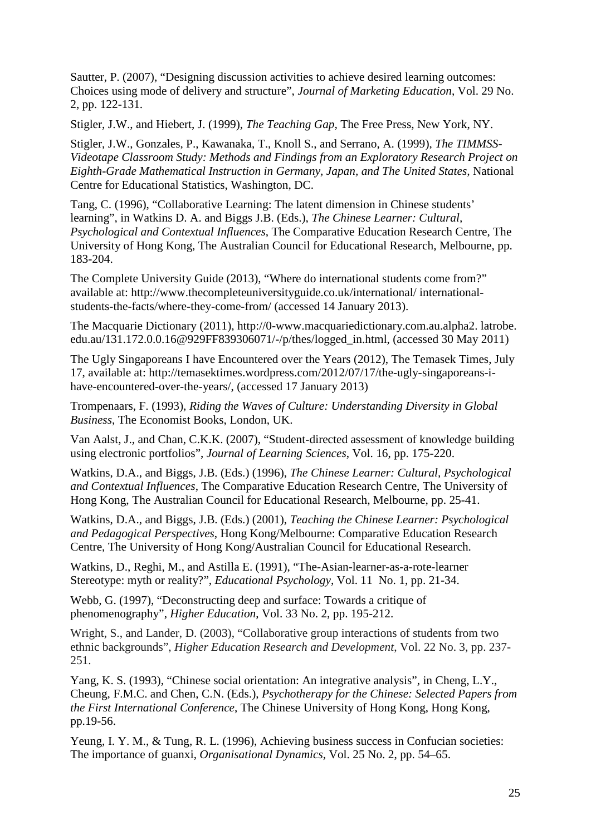Sautter, P. (2007), "Designing discussion activities to achieve desired learning outcomes: Choices using mode of delivery and structure", *Journal of Marketing Education*, Vol. 29 No. 2, pp. 122-131.

Stigler, J.W., and Hiebert, J. (1999), *The Teaching Gap*, The Free Press, New York, NY.

Stigler, J.W., Gonzales, P., Kawanaka, T., Knoll S., and Serrano, A. (1999), *The TIMMSS-Videotape Classroom Study: Methods and Findings from an Exploratory Research Project on Eighth-Grade Mathematical Instruction in Germany, Japan, and The United States,* National Centre for Educational Statistics, Washington, DC.

Tang, C. (1996), "Collaborative Learning: The latent dimension in Chinese students' learning", in Watkins D. A. and Biggs J.B. (Eds.), *The Chinese Learner: Cultural, Psychological and Contextual Influences*, The Comparative Education Research Centre, The University of Hong Kong, The Australian Council for Educational Research, Melbourne, pp. 183-204.

The Complete University Guide (2013), "Where do international students come from?" available at: http://www.thecompleteuniversityguide.co.uk/international/ internationalstudents-the-facts/where-they-come-from/ (accessed 14 January 2013).

The Macquarie Dictionary (2011), [http://0-www.macquariedictionary.com.au.alpha2. latrobe.](http://0-www.macquariedictionary.com.au.alpha2.latrobe.edu.au/131.172.0.0.16@929FF839306071/-/p/thes/logged_in.html)  [edu.au/131.172.0.0.16@929FF839306071/-/p/thes/logged\\_in.html,](http://0-www.macquariedictionary.com.au.alpha2.latrobe.edu.au/131.172.0.0.16@929FF839306071/-/p/thes/logged_in.html) (accessed 30 May 2011)

The Ugly Singaporeans I have Encountered over the Years (2012), The Temasek Times, July 17, available at: http://temasektimes.wordpress.com/2012/07/17/the-ugly-singaporeans-ihave-encountered-over-the-years/, (accessed 17 January 2013)

Trompenaars, F. (1993), *Riding the Waves of Culture: Understanding Diversity in Global Business*, The Economist Books, London, UK.

Van Aalst, J., and Chan, C.K.K. (2007), "Student-directed assessment of knowledge building using electronic portfolios", *Journal of Learning Sciences*, Vol. 16, pp. 175-220.

Watkins, D.A., and Biggs, J.B. (Eds.) (1996), *The Chinese Learner: Cultural, Psychological and Contextual Influences*, The Comparative Education Research Centre, The University of Hong Kong, The Australian Council for Educational Research, Melbourne, pp. 25-41.

Watkins, D.A., and Biggs, J.B. (Eds.) (2001), *Teaching the Chinese Learner: Psychological and Pedagogical Perspectives*, Hong Kong/Melbourne: Comparative Education Research Centre, The University of Hong Kong/Australian Council for Educational Research.

Watkins, D., Reghi, M., and Astilla E. (1991), "The-Asian-learner-as-a-rote-learner Stereotype: myth or reality?", *Educational Psychology*, Vol. 11 No. 1, pp. 21-34.

Webb, G. (1997), "Deconstructing deep and surface: Towards a critique of phenomenography", *Higher Education*, Vol. 33 No. 2, pp. 195-212.

Wright, S., and Lander, D. (2003), "Collaborative group interactions of students from two ethnic backgrounds", *Higher Education Research and Development*, Vol. 22 No. 3, pp. 237- 251.

Yang, K. S. (1993), "Chinese social orientation: An integrative analysis", in Cheng, L.Y., Cheung, F.M.C. and Chen, C.N. (Eds.), *Psychotherapy for the Chinese: Selected Papers from the First International Conference*, The Chinese University of Hong Kong, Hong Kong, pp.19-56.

Yeung, I. Y. M., & Tung, R. L. (1996), Achieving business success in Confucian societies: The importance of guanxi, *Organisational Dynamics*, Vol. 25 No. 2, pp. 54–65.